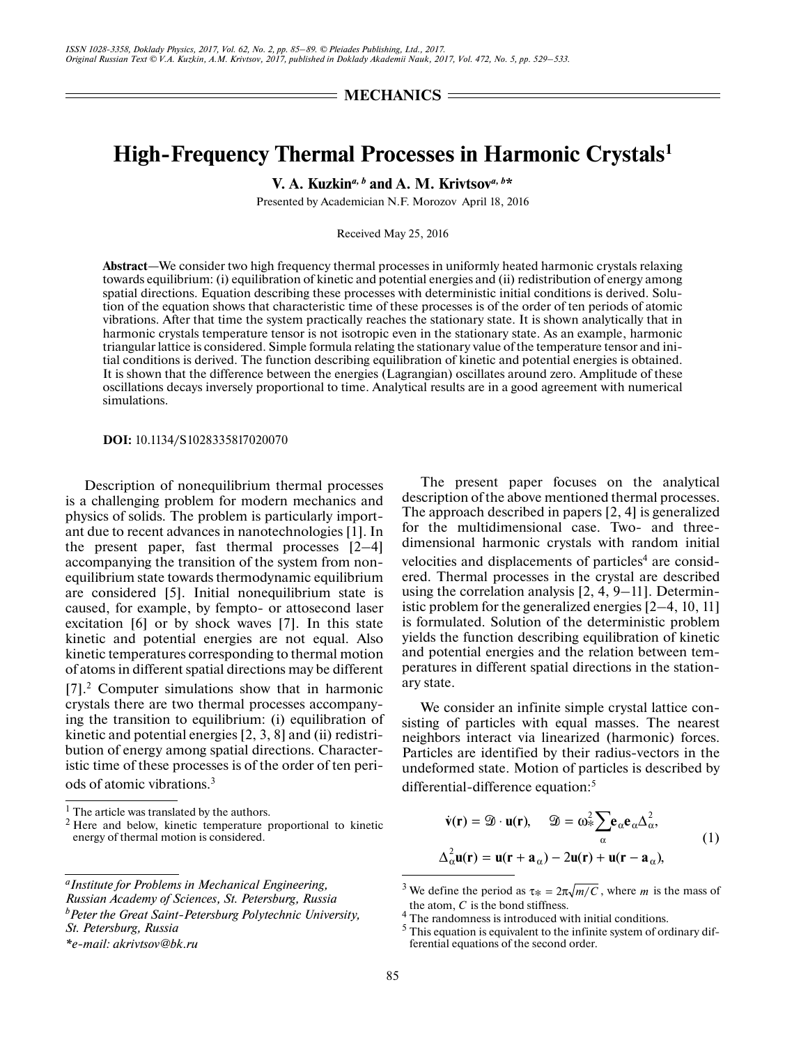**SMECHANICS =** 

## **High-Frequency Thermal Processes in Harmonic Crystals1**

**V. A. Kuzkin***a, b* **and A. M. Krivtsov***a, b***\***

Presented by Academician N.F. Morozov April 18, 2016

Received May 25, 2016

**Abstract**—We consider two high frequency thermal processes in uniformly heated harmonic crystals relaxing towards equilibrium: (i) equilibration of kinetic and potential energies and (ii) redistribution of energy among spatial directions. Equation describing these processes with deterministic initial conditions is derived. Solution of the equation shows that characteristic time of these processes is of the order of ten periods of atomic vibrations. After that time the system practically reaches the stationary state. It is shown analytically that in harmonic crystals temperature tensor is not isotropic even in the stationary state. As an example, harmonic triangular lattice is considered. Simple formula relating the stationary value of the temperature tensor and initial conditions is derived. The function describing equilibration of kinetic and potential energies is obtained. It is shown that the difference between the energies (Lagrangian) oscillates around zero. Amplitude of these oscillations decays inversely proportional to time. Analytical results are in a good agreement with numerical simulations.

**DOI:** 10.1134/S1028335817020070

Description of nonequilibrium thermal processes is a challenging problem for modern mechanics and physics of solids. The problem is particularly important due to recent advances in nanotechnologies [1]. In the present paper, fast thermal processes [2–4] accompanying the transition of the system from nonequilibrium state towards thermodynamic equilibrium are considered [5]. Initial nonequilibrium state is caused, for example, by fempto- or attosecond laser excitation [6] or by shock waves [7]. In this state kinetic and potential energies are not equal. Also kinetic temperatures corresponding to thermal motion of atoms in different spatial directions may be different [7].2 Computer simulations show that in harmoniс crystals there are two thermal processes accompanying the transition to equilibrium: (i) equilibration of kinetic and potential energies [2, 3, 8] and (ii) redistribution of energy among spatial directions. Characteristic time of these processes is of the order of ten periods of atomic vibrations.3

The present paper focuses on the analytical description of the above mentioned thermal processes. The approach described in papers [2, 4] is generalized for the multidimensional case. Two- and threedimensional harmonic crystals with random initial velocities and displacements of particles<sup>4</sup> are considered. Thermal processes in the crystal are described using the correlation analysis [2, 4, 9–11]. Deterministic problem for the generalized energies [2–4, 10, 11] is formulated. Solution of the deterministic problem yields the function describing equilibration of kinetic and potential energies and the relation between temperatures in different spatial directions in the stationary state.

We consider an infinite simple crystal lattice consisting of particles with equal masses. The nearest neighbors interact via linearized (harmonic) forces. -Particles are identified by their radius-vectors in the undeformed state. Motion of particles is described by differential-difference equation:<sup>5</sup>

$$
\dot{\mathbf{v}}(\mathbf{r}) = \mathcal{D} \cdot \mathbf{u}(\mathbf{r}), \quad \mathcal{D} = \omega_*^2 \sum_{\alpha} \mathbf{e}_{\alpha} \mathbf{e}_{\alpha} \Delta_{\alpha}^2,
$$
  

$$
\Delta_{\alpha}^2 \mathbf{u}(\mathbf{r}) = \mathbf{u}(\mathbf{r} + \mathbf{a}_{\alpha}) - 2\mathbf{u}(\mathbf{r}) + \mathbf{u}(\mathbf{r} - \mathbf{a}_{\alpha}),
$$
 (1)

<sup>&</sup>lt;sup>1</sup> The article was translated by the authors.<sup>2</sup> Here and below kingth temperature  $\frac{1}{2}$ 

Here and below, kinetic temperature proportional to kinetic energy of thermal motion is considered.

*aInstitute for Problems in Mechanical Engineering, Russian Academy of Sciences, St. Petersburg, Russia b Peter the Great Saint-Petersburg Polytechnic University,* 

*St. Petersburg, Russia*

*<sup>\*</sup>e-mail: akrivtsov@bk.ru*

<sup>&</sup>lt;sup>3</sup> We define the period as  $\tau_* = 2\pi \sqrt{m/C}$ , where *m* is the mass of the atom,  $C$  is the bond stiffness.

<sup>&</sup>lt;sup>4</sup> The randomness is introduced with initial conditions.

 $<sup>5</sup>$  This equation is equivalent to the infinite system of ordinary dif-</sup> ferential equations of the second order.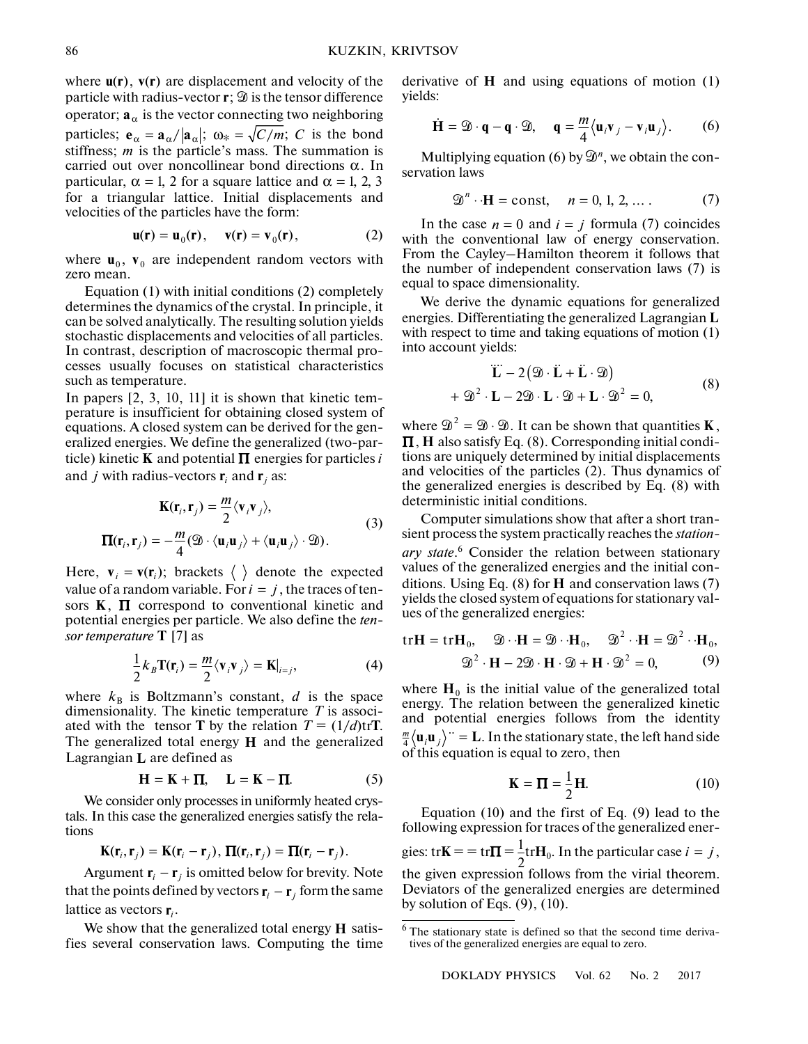where  $\mathbf{u}(\mathbf{r})$ ,  $\mathbf{v}(\mathbf{r})$  are displacement and velocity of the particle with radius-vector **r**;  $\mathcal{D}$  is the tensor difference operator;  $\mathbf{a}_{\alpha}$  is the vector connecting two neighboring particles;  $\mathbf{e}_{\alpha} = \mathbf{a}_{\alpha}/|\mathbf{a}_{\alpha}|$ ;  $\omega_* = \sqrt{C/m}$ ; *C* is the bond stiffness;  $m$  is the particle's mass. The summation is carried out over noncollinear bond directions  $\alpha$ . In particular,  $\alpha = 1$ , 2 for a square lattice and  $\alpha = 1, 2, 3$ for a triangular lattice. Initial displacements and velocities of the particles have the form:

$$
\mathbf{u}(\mathbf{r}) = \mathbf{u}_0(\mathbf{r}), \quad \mathbf{v}(\mathbf{r}) = \mathbf{v}_0(\mathbf{r}), \tag{2}
$$

where  $\mathbf{u}_0$ ,  $\mathbf{v}_0$  are independent random vectors with zero mean.

Equation (1) with initial conditions (2) completely determines the dynamics of the crystal. In principle, it can be solved analytically. The resulting solution yields stochastic displacements and velocities of all particles. In contrast, description of macroscopic thermal processes usually focuses on statistical characteristics such as temperature.

In papers [2, 3, 10, 11] it is shown that kinetic temperature is insufficient for obtaining closed system of equations. A closed system can be derived for the generalized energies. We define the generalized (two-par- $\mathbf{K}$  inetic  $\mathbf{K}$  and potential  $\mathbf{\Pi}$  energies for particles *i* and *j* with radius-vectors  $\mathbf{r}_i$  and  $\mathbf{r}_j$  as:

$$
\mathbf{K}(\mathbf{r}_i, \mathbf{r}_j) = \frac{m}{2} \langle \mathbf{v}_i \mathbf{v}_j \rangle,
$$
  
\n
$$
\boldsymbol{\Pi}(\mathbf{r}_i, \mathbf{r}_j) = -\frac{m}{4} (\mathfrak{D} \cdot \langle \mathbf{u}_i \mathbf{u}_j \rangle + \langle \mathbf{u}_i \mathbf{u}_j \rangle \cdot \mathfrak{D}).
$$
\n(3)

Here,  $\mathbf{v}_i = \mathbf{v}(\mathbf{r}_i)$ ; brackets  $\langle \rangle$  denote the expected value of a random variable. For  $i = j$ , the traces of tensors  $K$ ,  $\Pi$  correspond to conventional kinetic and potential energies per particle. We also define the *ten*sor temperature **T** [7] as

$$
\frac{1}{2}k_B \mathbf{T}(\mathbf{r}_i) = \frac{m}{2} \langle \mathbf{v}_i \mathbf{v}_j \rangle = \mathbf{K}|_{i=j},\tag{4}
$$

where  $k_B$  is Boltzmann's constant, d is the space dimensionality. The kinetic temperature *T* is associated with the tensor **T** by the relation  $T = (1/d) \text{tr} \mathbf{T}$ . The generalized total energy  $H$  and the generalized Lagrangian L are defined as

$$
\mathbf{H} = \mathbf{K} + \mathbf{\Pi}, \quad \mathbf{L} = \mathbf{K} - \mathbf{\Pi}.
$$
 (5)

We consider only processes in uniformly heated crystals. In this case the generalized energies satisfy the relations

$$
\mathbf{K}(\mathbf{r}_i, \mathbf{r}_j) = \mathbf{K}(\mathbf{r}_i - \mathbf{r}_j), \, \mathbf{\Pi}(\mathbf{r}_i, \mathbf{r}_j) = \mathbf{\Pi}(\mathbf{r}_i - \mathbf{r}_j).
$$

Argument  $\mathbf{r}_i - \mathbf{r}_j$  is omitted below for brevity. Note that the points defined by vectors  $\mathbf{r}_i - \mathbf{r}_j$  form the same lattice as vectors  $\mathbf{r}_i$ .

We show that the generalized total energy  $H$  satisfies several conservation laws. Computing the time

derivative of  $H$  and using equations of motion  $(1)$ yields: SOV<br>tive of **H** and using equations of mo<br>:<br> $\dot{H} = \mathcal{D} \cdot \mathbf{q} - \mathbf{q} \cdot \mathcal{D}$ ,  $\mathbf{q} = \frac{m}{l} \langle \mathbf{u}_i \mathbf{v}_j - \mathbf{v}_i \mathbf{u}_j \rangle$ .

$$
\dot{\mathbf{H}} = \mathfrak{D} \cdot \mathbf{q} - \mathbf{q} \cdot \mathfrak{D}, \quad \mathbf{q} = \frac{m}{4} \langle \mathbf{u}_i \mathbf{v}_j - \mathbf{v}_i \mathbf{u}_j \rangle. \tag{6}
$$

Multiplying equation (6) by  $\mathfrak{D}^n$ , we obtain the conservation laws

$$
\mathfrak{D}^n \cdot \mathbf{H} = \text{const}, \quad n = 0, 1, 2, \dots \tag{7}
$$

In the case  $n = 0$  and  $i = j$  formula (7) coincides with the conventional law of energy conservation. From the Cayley–Hamilton theorem it follows that the number of independent conservation laws (7) is equal to space dimensionality.

an to space aments for a throwing. energies. Differentiating the generalized Lagrangian **L** with respect to time and taking equations of motion (1) into account yields: .<br>.<br>.!<br>. |<br>|<br>|<br>|<br>|<br>|

$$
\ddot{\mathbf{L}} - 2(\mathfrak{D} \cdot \dot{\mathbf{L}} + \dot{\mathbf{L}} \cdot \mathfrak{D})
$$
  
+  $\mathfrak{D}^2 \cdot \mathbf{L} - 2\mathfrak{D} \cdot \mathbf{L} \cdot \mathfrak{D} + \mathbf{L} \cdot \mathfrak{D}^2 = 0,$  (8)

where  $\mathfrak{D}^2 = \mathfrak{D} \cdot \mathfrak{D}$ . It can be shown that quantities **K**,  $\Pi$ , H also satisfy Eq. (8). Corresponding initial conditions are uniquely determined by initial displacements and velocities of the particles (2). Thus dynamics of the generalized energies is described by Eq. (8) with deterministic initial conditions.

Computer simulations show that after a short transient process the system practically reaches the *stationary state*. 6 Consider the relation between stationary values of the generalized energies and the initial conditions. Using Eq.  $(8)$  for  $H$  and conservation laws  $(7)$ yields the closed system of equations for stationary values of the generalized energies:

$$
\mathbf{tr}\mathbf{H} = \mathbf{tr}\mathbf{H}_0, \quad \mathfrak{D} \cdot \mathbf{H} = \mathfrak{D} \cdot \mathbf{H}_0, \quad \mathfrak{D}^2 \cdot \mathbf{H} = \mathfrak{D}^2 \cdot \mathbf{H}_0,
$$

$$
\mathfrak{D}^2 \cdot \mathbf{H} - 2\mathfrak{D} \cdot \mathbf{H} \cdot \mathfrak{D} + \mathbf{H} \cdot \mathfrak{D}^2 = 0,
$$
(9)

where  $H_0$  is the initial value of the generalized total energy. The relation between the generalized kinetic and potential energies follows from the identity  $\frac{m}{4}\langle \mathbf{u}_i \mathbf{u}_j \rangle$   $\dot{\mathbf{v}} = \mathbf{L}$ . In the stationary state, the left hand side of this equation is equal to zero, then

$$
\mathbf{K} = \mathbf{\Pi} = \frac{1}{2} \mathbf{H}.
$$
 (10)

Equation (10) and the first of Eq. (9) lead to the following expression for traces of the generalized ener-

gies:  $tr\mathbf{K} = \pm i\mathbf{r}\mathbf{\Pi} = \frac{1}{2}tr\mathbf{H}_0$ . In the particular case  $i = j$ , the given expression follows from the virial theorem. Deviators of the generalized energies are determined by solution of Eqs.  $(9)$ ,  $(10)$ .

 $6$  The stationary state is defined so that the second time derivatives of the generalized energies are equal to zero.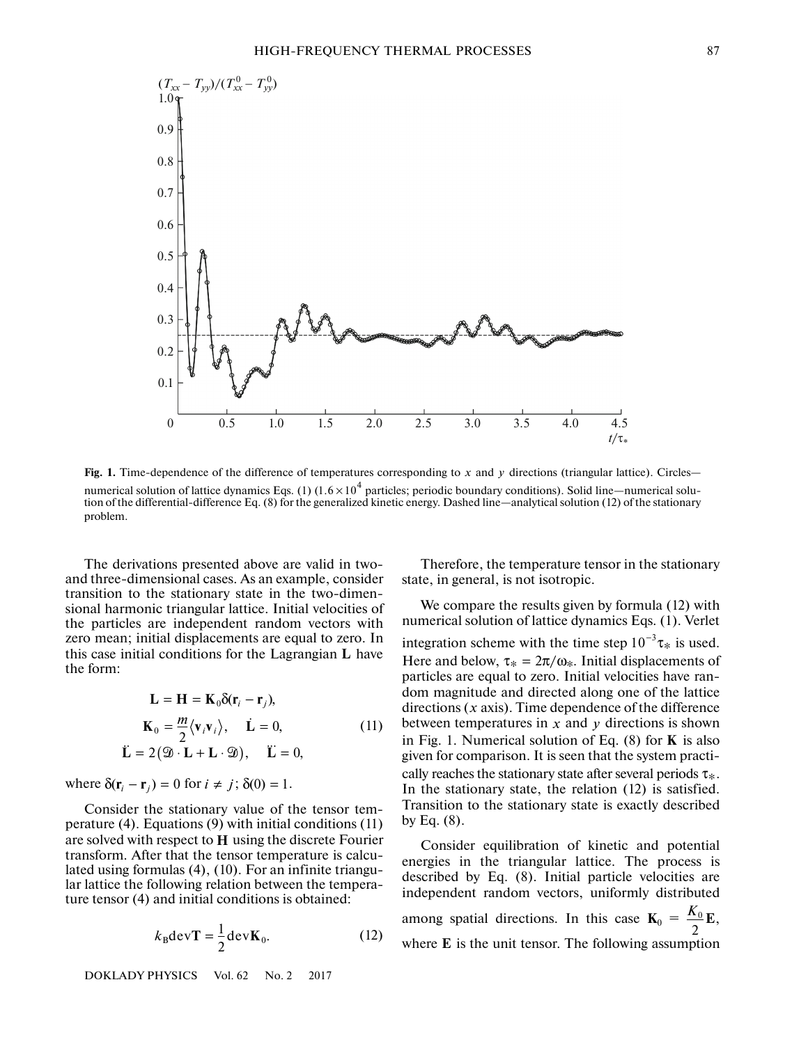

Fig. 1. Time-dependence of the difference of temperatures corresponding to x and y directions (triangular lattice). Circles numerical solution of lattice dynamics Eqs. (1)  $(1.6 \times 10^4$  particles; periodic boundary conditions). Solid line—numerical solution of the differential-difference Eq. (8) for the generalized kinetic energy. Dashed line—analytical solution (12) of the stationary problem.

The derivations presented above are valid in twoand three-dimensional cases. As an example, consider transition to the stationary state in the two-dimensional harmonic triangular lattice. Initial velocities of the particles are independent random vectors with zero mean; initial displacements are equal to zero. In Ecto mean, initial displacements are equal to zero. In this case initial conditions for the Lagrangian **L** have the form:

$$
\mathbf{L} = \mathbf{H} = \mathbf{K}_0 \delta(\mathbf{r}_i - \mathbf{r}_j),
$$
  
\n
$$
\mathbf{K}_0 = \frac{m}{2} \langle \mathbf{v}_i \mathbf{v}_i \rangle, \quad \dot{\mathbf{L}} = 0,
$$
  
\n
$$
\ddot{\mathbf{L}} = 2 (\mathfrak{D} \cdot \mathbf{L} + \mathbf{L} \cdot \mathfrak{D}), \quad \ddot{\mathbf{L}} = 0,
$$
\n(11)

where  $\delta(\mathbf{r}_i - \mathbf{r}_j) = 0$  for  $i \neq j$ ;  $\delta(0) = 1$ .

Consider the stationary value of the tensor temperature (4). Equations (9) with initial conditions (11) are solved with respect to H using the discrete Fourier transform. After that the tensor temperature is calculated using formulas (4), (10). For an infinite triangular lattice the following relation between the temperature tensor (4) and initial conditions is obtained:

$$
k_{\rm B} \text{dev} \mathbf{T} = \frac{1}{2} \text{dev} \mathbf{K}_0. \tag{12}
$$

DOKLADY PHYSICS Vol. 62 No. 2 2017

Therefore, the temperature tensor in the stationary state, in general, is not isotropic.

We compare the results given by formula (12) with numerical solution of lattice dynamics Eqs. (1). Verlet integration scheme with the time step  $10^{-3}\tau_*$  is used. Here and below,  $\tau_* = 2\pi/\omega_*$ . Initial displacements of particles are equal to zero. Initial velocities have random magnitude and directed along one of the lattice directions  $(x \text{ axis})$ . Time dependence of the difference between temperatures in  $x$  and  $y$  directions is shown in Fig. 1. Numerical solution of Eq.  $(8)$  for **K** is also given for comparison. It is seen that the system practically reaches the stationary state after several periods τ∗. In the stationary state, the relation (12) is satisfied. Transition to the stationary state is exactly described by Eq.  $(8)$ .

Consider equilibration of kinetic and potential energies in the triangular lattice. The process is described by Eq. (8). Initial particle velocities are independent random vectors, uniformly distributed among spatial directions. In this case  $\mathbf{K}_0 = \frac{\mathbf{\Lambda}_0}{2} \mathbf{E}$ , where  $E$  is the unit tensor. The following assumption 2  $\frac{K_0}{2}$ **E**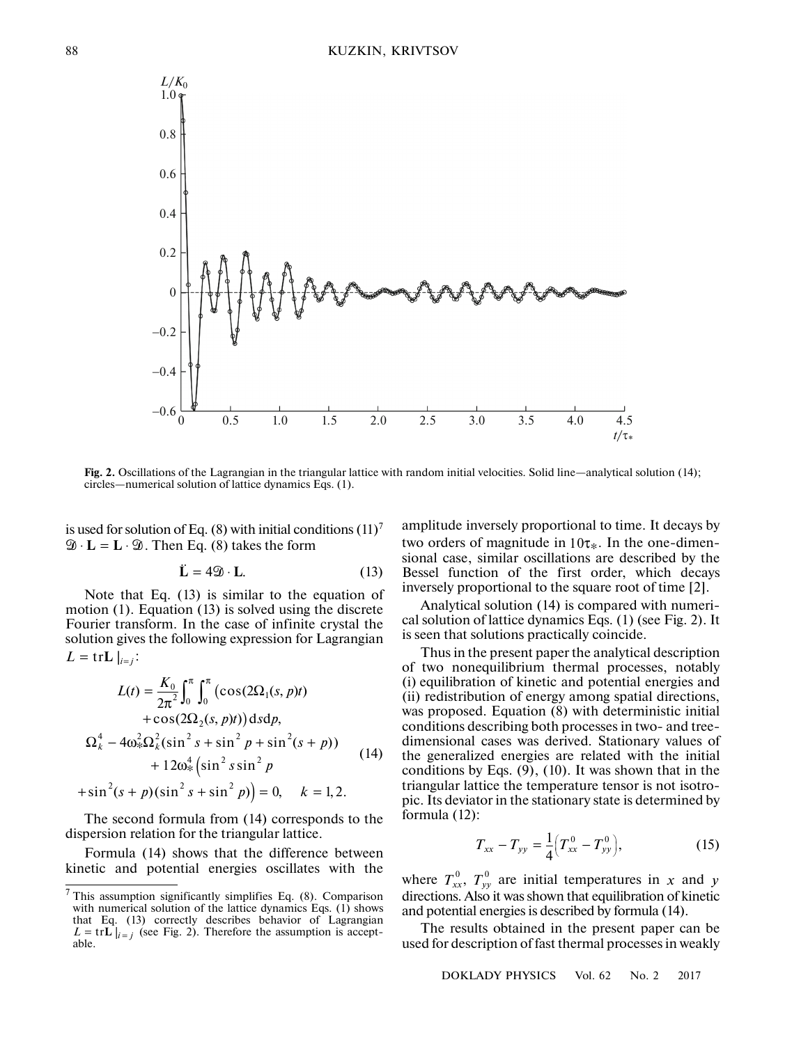

**Fig. 2.** Oscillations of the Lagrangian in the triangular lattice with random initial velocities. Solid line—analytical solution (14); circles—numerical solution of lattice dynamics Eqs. (1). -

is used for solution of Eq. (8) with initial conditions  $(11)<sup>7</sup>$  $\mathfrak{D} \cdot \mathbf{L} = \mathbf{L} \cdot \mathfrak{D}$ . Then Eq. (8) takes the form  $\inf$  Eq. (8) with  $\sum$  is a Eq. (8) taken  $\tilde{L} = 4\mathfrak{D} \cdot L$ .

$$
\ddot{\mathbf{L}} = 4\mathfrak{D} \cdot \mathbf{L}.\tag{13}
$$

Note that Eq. (13) is similar to the equation of motion (1). Equation (13) is solved using the discrete Fourier transform. In the case of infinite crystal the solution gives the following expression for Lagrangian  $L = \text{tr} \mathbf{L} \mid_{i=j}$ :

$$
L(t) = \frac{K_0}{2\pi^2} \int_0^{\pi} \int_0^{\pi} (\cos(2\Omega_1(s, p)t) + \cos(2\Omega_2(s, p)t)) ds dp,
$$
  
\n
$$
\Omega_k^4 - 4\omega_*^2 \Omega_k^2 (\sin^2 s + \sin^2 p + \sin^2 (s + p)) + 12\omega_*^4 (\sin^2 s \sin^2 p + \sin^2 (s + p)(\sin^2 s + \sin^2 p)) = 0, \quad k = 1, 2.
$$
\n(14)

The second formula from (14) corresponds to the dispersion relation for the triangular lattice.

Formula (14) shows that the difference between kinetic and potential energies oscillates with the amplitude inversely proportional to time. It decays by two orders of magnitude in  $10\tau_*$ . In the one-dimensional case, similar oscillations are described by the Bessel function of the first order, which decays inversely proportional to the square root of time [2].

Analytical solution (14) is compared with numerical solution of lattice dynamics Eqs. (1) (see Fig. 2). It is seen that solutions practically coincide.

Thus in the present paper the analytical description of two nonequilibrium thermal processes, notably (i) equilibration of kinetic and potential energies and (ii) redistribution of energy among spatial directions, was proposed. Equation (8) with deterministic initial conditions describing both processes in two- and treedimensional cases was derived. Stationary values of the generalized energies are related with the initial conditions by Eqs. (9), (10). It was shown that in the triangular lattice the temperature tensor is not isotropic. Its deviator in the stationary state is determined by formula (12):

$$
T_{xx} - T_{yy} = \frac{1}{4} \Big( T_{xx}^0 - T_{yy}^0 \Big), \tag{15}
$$

where  $T_{xx}^0$ ,  $T_{yy}^0$  are initial temperatures in x and directions. Also it was shown that equilibration of kinetic and potential energies is described by formula (14).  $T_{xx}^0$ ,  $T_{yy}^0$  are initial temperatures in x and y

The results obtained in the present paper can be used for description of fast thermal processes in weakly

DOKLADY PHYSICS Vol. 62 No. 2 2017

 $7$  This assumption significantly simplifies Eq. (8). Comparison with numerical solution of the lattice dynamics Eqs. (1) shows that Eq. (13) correctly describes behavior of Lagrangian  $L = \text{tr} L \big|_{i=j}$  (see Fig. 2). Therefore the assumption is acceptable.